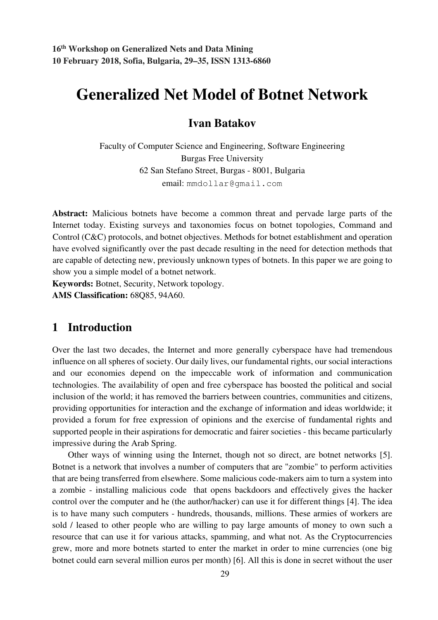# **Generalized Net Model of Botnet Network**

## **Ivan Batakov**

Faculty of Computer Science and Engineering, Software Engineering Burgas Free University 62 San Stefano Street, Burgas - 8001, Bulgaria email: mmdollar@gmail.com

**Abstract:** Malicious botnets have become a common threat and pervade large parts of the Internet today. Existing surveys and taxonomies focus on botnet topologies, Command and Control (C&C) protocols, and botnet objectives. Methods for botnet establishment and operation have evolved significantly over the past decade resulting in the need for detection methods that are capable of detecting new, previously unknown types of botnets. In this paper we are going to show you a simple model of a botnet network.

**Keywords:** Botnet, Security, Network topology. **AMS Classification:** 68Q85, 94A60.

## **1 Introduction**

Over the last two decades, the Internet and more generally cyberspace have had tremendous influence on all spheres of society. Our daily lives, our fundamental rights, our social interactions and our economies depend on the impeccable work of information and communication technologies. The availability of open and free cyberspace has boosted the political and social inclusion of the world; it has removed the barriers between countries, communities and citizens, providing opportunities for interaction and the exchange of information and ideas worldwide; it provided a forum for free expression of opinions and the exercise of fundamental rights and supported people in their aspirations for democratic and fairer societies - this became particularly impressive during the Arab Spring.

Other ways of winning using the Internet, though not so direct, are botnet networks [5]. Botnet is a network that involves a number of computers that are "zombie" to perform activities that are being transferred from elsewhere. Some malicious code-makers aim to turn a system into a zombie - installing malicious code that opens backdoors and effectively gives the hacker control over the computer and he (the author/hacker) can use it for different things [4]. The idea is to have many such computers - hundreds, thousands, millions. These armies of workers are sold / leased to other people who are willing to pay large amounts of money to own such a resource that can use it for various attacks, spamming, and what not. As the Cryptocurrencies grew, more and more botnets started to enter the market in order to mine currencies (one big botnet could earn several million euros per month) [6]. All this is done in secret without the user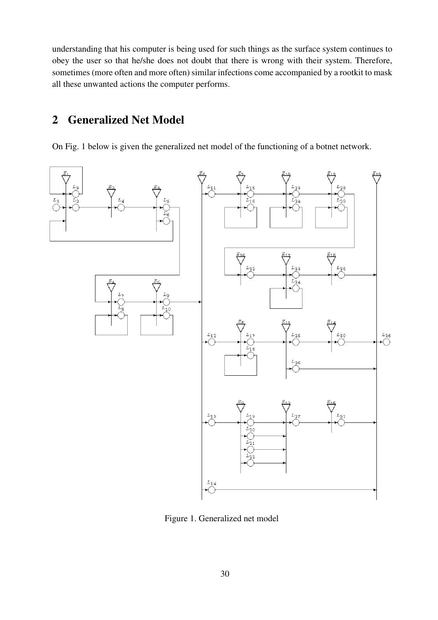understanding that his computer is being used for such things as the surface system continues to obey the user so that he/she does not doubt that there is wrong with their system. Therefore, sometimes (more often and more often) similar infections come accompanied by a rootkit to mask all these unwanted actions the computer performs.

# **2 Generalized Net Model**

On Fig. 1 below is given the generalized net model of the functioning of a botnet network.



Figure 1. Generalized net model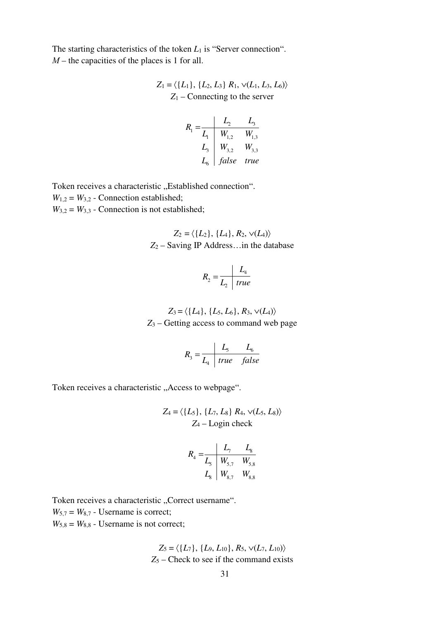The starting characteristics of the token *L*<sub>1</sub> is "Server connection".  $M$  – the capacities of the places is 1 for all.

$$
Z_1 = \langle \{L_1\}, \{L_2, L_3\} \, R_1, \, \forall (L_1, L_3, L_6) \rangle
$$
  
 
$$
Z_1 - \text{Connecting to the server}
$$

$$
R_1 = \frac{L_2}{L_1} = \frac{L_3}{W_{1,2}} = \frac{L_3}{W_{1,3}}
$$
  
\n
$$
L_3 = \frac{W_{3,2}}{L_4} = \frac{W_{3,3}}{t}
$$
  
\nL<sub>6</sub> *false* true

Token receives a characteristic "Established connection".  $W_{1,2} = W_{3,2}$  - Connection established;  $W_{3,2} = W_{3,3}$  - Connection is not established;

$$
Z_2 = \langle \{L_2\}, \{L_4\}, R_2, \vee (L_4) \rangle
$$
  
Z<sub>2</sub> – Saving IP Address...in the database

$$
R_2 = \frac{L_4}{L_2 \mid true}
$$

 $Z_3 = \langle \{L_4\}, \{L_5, L_6\}, R_3, \vee (L_4) \rangle$ *Z*3 – Getting access to command web page

$$
R_3 = \frac{L_5}{L_4} \frac{L_6}{true} false
$$

Token receives a characteristic "Access to webpage".

$$
Z_4 = \langle \{L_5\}, \{L_7, L_8\} \, R_4, \, \vee (L_5, L_8) \rangle
$$
  

$$
Z_4 - \text{Login check}
$$

$$
R_4 = \frac{L_7}{L_5} \frac{L_8}{W_{5,7}} \frac{V_{8,8}}{W_{8,7}} L_8 \frac{W_{8,7}}{W_{8,8}}
$$

Token receives a characteristic "Correct username".  $W_{5,7} = W_{8,7}$  - Username is correct;  $W_{5,8} = W_{8,8}$  - Username is not correct;

$$
Z_5 = \langle \{L_7\}, \{L_9, L_{10}\}, R_5, \vee (L_7, L_{10}) \rangle
$$
  
Z<sub>5</sub> – Check to see if the command exists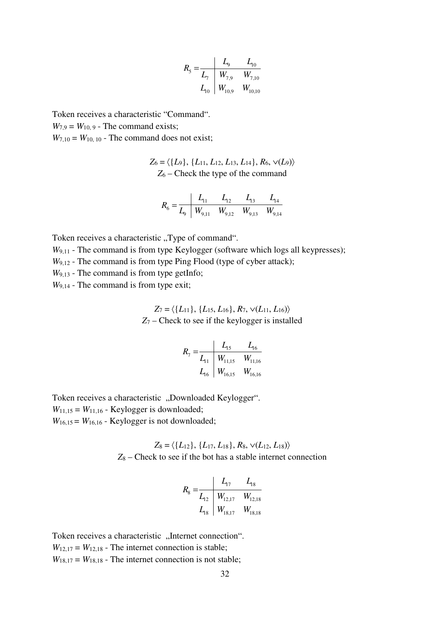$$
R_{5} = \frac{L_{9}}{L_{7}} = \frac{L_{9}}{W_{7,9}} = \frac{L_{10}}{W_{7,10}}
$$
  

$$
L_{10} = \frac{W_{10,9}}{W_{10,9}} = \frac{W_{10,10}}{W_{10,10}}
$$

Token receives a characteristic "Command".  $W_{7.9} = W_{10.9}$  - The command exists;

 $W_{7,10} = W_{10,10}$  - The command does not exist;

$$
Z_6 = \langle \{L_9\}, \{L_{11}, L_{12}, L_{13}, L_{14}\}, R_6, \vee(L_9) \rangle
$$
  
Z<sub>6</sub> – Check the type of the command

$$
R_6 = \frac{L_{11}}{L_9} = \frac{L_{12}}{W_{9,11}} = \frac{L_{12}}{W_{9,12}} = \frac{L_{13}}{W_{9,13}} = \frac{L_{14}}{W_{9,14}}
$$

Token receives a characteristic "Type of command".

*W*<sub>9,11</sub> - The command is from type Keylogger (software which logs all keypresses);

*W*<sub>9,12</sub> - The command is from type Ping Flood (type of cyber attack);

*W*<sub>9,13</sub> - The command is from type getInfo;

*W*9,14 - The command is from type exit;

$$
Z_7 = \langle \{L_{11}\}, \{L_{15}, L_{16}\}, R_7, \vee (L_{11}, L_{16})\rangle
$$
  
Z\_7 - Check to see if the keylogger is installed

$$
R_7 = \frac{L_{15}}{L_{11}} \frac{L_{15}}{W_{11,15}} \frac{L_{16}}{W_{11,16}}
$$
  

$$
L_{16} \frac{L_{16}}{W_{16,15}} \frac{W_{16,16}}{W_{16,16}}
$$

Token receives a characteristic "Downloaded Keylogger".  $W_{11,15} = W_{11,16}$  - Keylogger is downloaded;  $W_{16,15} = W_{16,16}$  - Keylogger is not downloaded;

$$
Z_8 = \langle \{L_{12}\}, \{L_{17}, L_{18}\}, R_8, \sqrt{(L_{12}, L_{18})} \rangle
$$
  
Z<sub>8</sub> – Check to see if the bot has a stable internet connection

$$
R_8 = \frac{L_{17}}{L_{12}} \begin{array}{|l|l|} \hline L_{17} & L_{18} \\ \hline W_{12,17} & W_{12,18} \\ \hline L_{18} & W_{18,17} & W_{18,18} \end{array}
$$

Token receives a characteristic "Internet connection".  $W_{12,17} = W_{12,18}$  - The internet connection is stable;  $W_{18,17} = W_{18,18}$  - The internet connection is not stable;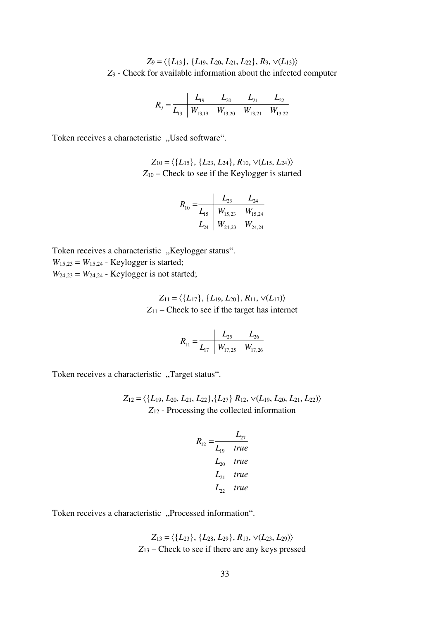$Z_9 = \langle \{L_{13}\}, \{L_{19}, L_{20}, L_{21}, L_{22}\}, R_9, \vee (L_{13})\rangle$ *Z*9 - Check for available information about the infected computer

$$
R_9 = \frac{L_{19}}{L_{13}} \begin{array}{|l|l|} \hline L_{19} & L_{20} & L_{21} & L_{22} \\ \hline W_{13,19} & W_{13,20} & W_{13,21} & W_{13,22} \end{array}
$$

Token receives a characteristic "Used software".

$$
Z_{10} = \langle \{L_{15}\}, \{L_{23}, L_{24}\}, R_{10}, \vee (L_{15}, L_{24})\rangle
$$
  
Z<sub>10</sub> – Check to see if the Keylogger is started

$$
R_{10} = \frac{L_{23}}{L_{15}} \begin{array}{c|cc} & L_{24} & L_{24} \\ \hline W_{15,23} & W_{15,24} \\ & W_{24,23} & W_{24,24} \end{array}
$$

Token receives a characteristic "Keylogger status".  $W_{15,23} = W_{15,24}$  - Keylogger is started;  $W_{24,23} = W_{24,24}$  - Keylogger is not started;

$$
Z_{11} = \langle \{L_{17}\}, \{L_{19}, L_{20}\}, R_{11}, \vee (L_{17})\rangle
$$
  
Z<sub>11</sub> – Check to see if the target has internet

$$
R_{11} = \frac{L_{25}}{L_{17}} \frac{L_{26}}{W_{17,25}} \frac{L_{26}}{W_{17,26}}
$$

Token receives a characteristic "Target status".

 $Z_{12} = \langle \{L_{19}, L_{20}, L_{21}, L_{22}\}, \{L_{27}\} R_{12}, \vee (L_{19}, L_{20}, L_{21}, L_{22})\rangle$ *Z*12 - Processing the collected information

$$
R_{12} = \frac{L_{27}}{L_{19}} = \frac{L_{27}}{true}
$$
  
\n
$$
L_{20} = true
$$
  
\n
$$
L_{21} = true
$$
  
\n
$$
L_{22} = true
$$

Token receives a characteristic "Processed information".

$$
Z_{13} = \langle \{L_{23}\}, \{L_{28}, L_{29}\}, R_{13}, \vee (L_{23}, L_{29}) \rangle
$$
  
Z<sub>13</sub> – Check to see if there are any keys pressed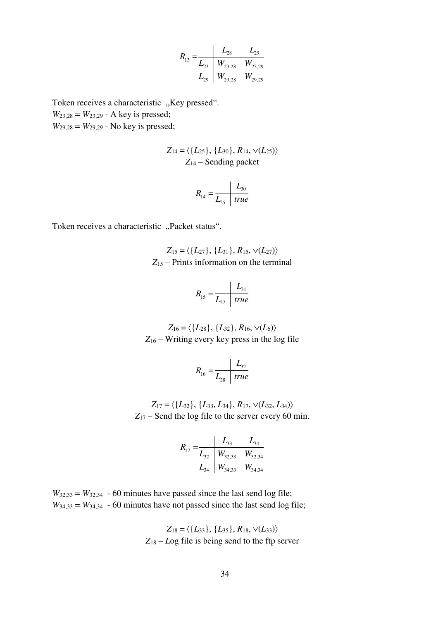$$
R_{13} = \frac{L_{28}}{L_{23}} \begin{array}{c|cc} L_{28} & L_{29} \\ W_{23,28} & W_{23,29} \\ L_{29} & W_{29,28} & W_{29,29} \end{array}
$$

Token receives a characteristic "Key pressed". *W*<sub>23,28</sub> = *W*<sub>23,29</sub> - A key is pressed;  $W_{29,28} = W_{29,29}$  - No key is pressed;

$$
Z_{14} = \langle \{L_{25}\}, \{L_{30}\}, R_{14}, \vee (L_{25}) \rangle
$$
  

$$
Z_{14} -
$$
Sending packet

$$
R_{14} = \frac{L_{30}}{L_{25} + true}
$$

Token receives a characteristic "Packet status".

$$
Z_{15} = \langle \{L_{27}\}, \{L_{31}\}, R_{15}, \vee (L_{27})\rangle
$$
  
Z<sub>15</sub> – Prints information on the terminal

$$
R_{15} = \frac{L_{31}}{L_{27} \mid true}
$$

$$
Z_{16} = \langle \{L_{28}\}, \{L_{32}\}, R_{16}, \vee (L_6) \rangle
$$
  
Z<sub>16</sub> – Writing every key press in the log file

$$
R_{16} = \frac{L_{32}}{L_{28} \mid true}
$$

$$
Z_{17} = \langle \{L_{32}\}, \{L_{33}, L_{34}\}, R_{17}, \sqrt{(L_{32}, L_{34})}\rangle
$$
  
Z<sub>17</sub> – Send the log file to the server every 60 min.

$$
R_{17} = \frac{L_{33}}{L_{32}} \begin{array}{c|cc} & L_{33} & L_{34} \\ \hline W_{32,33} & W_{32,34} \\ L_{34} & W_{34,33} & W_{34,34} \end{array}
$$

 $W_{32,33} = W_{32,34}$  - 60 minutes have passed since the last send log file;  $W_{34,33} = W_{34,34}$  - 60 minutes have not passed since the last send log file;

$$
Z_{18} = \langle \{L_{33}\}, \{L_{35}\}, R_{18}, \vee (L_{33}) \rangle
$$
  
Z<sub>18</sub> – Log file is being send to the fp server